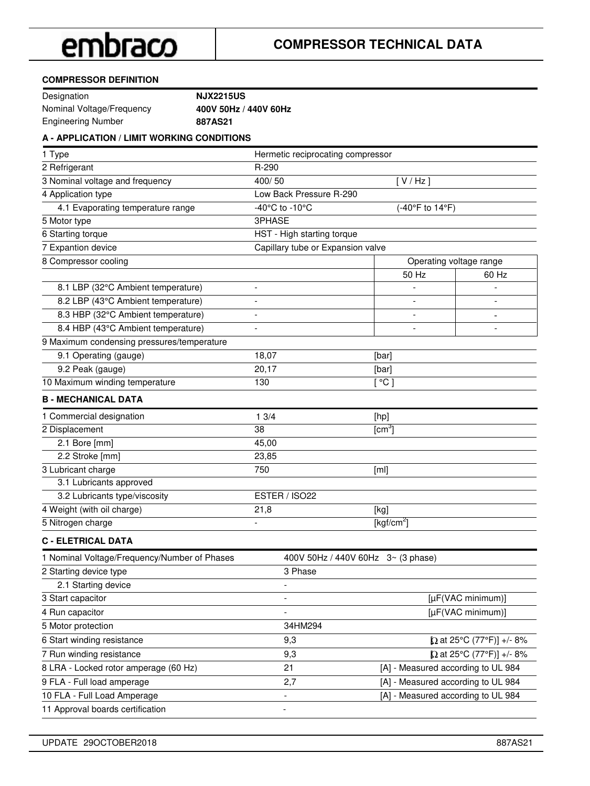#### **COMPRESSOR DEFINITION**

| Designation               | <b>NJX2215US</b>      |
|---------------------------|-----------------------|
| Nominal Voltage/Frequency | 400V 50Hz / 440V 60Hz |
| Engineering Number        | 887AS21               |

### **A - APPLICATION / LIMIT WORKING CONDITIONS**

| 1 Type                                       | Hermetic reciprocating compressor |                                    |                                                                     |
|----------------------------------------------|-----------------------------------|------------------------------------|---------------------------------------------------------------------|
| 2 Refrigerant                                | R-290                             |                                    |                                                                     |
| 3 Nominal voltage and frequency              | 400/50                            | [V/Hz]                             |                                                                     |
| 4 Application type                           | Low Back Pressure R-290           |                                    |                                                                     |
| 4.1 Evaporating temperature range            | -40°C to -10°C                    | (-40°F to 14°F)                    |                                                                     |
| 5 Motor type                                 | 3PHASE                            |                                    |                                                                     |
| 6 Starting torque                            | HST - High starting torque        |                                    |                                                                     |
| 7 Expantion device                           | Capillary tube or Expansion valve |                                    |                                                                     |
| 8 Compressor cooling                         |                                   | Operating voltage range            |                                                                     |
|                                              |                                   | 50 Hz                              | 60 Hz                                                               |
| 8.1 LBP (32°C Ambient temperature)           |                                   |                                    |                                                                     |
| 8.2 LBP (43°C Ambient temperature)           |                                   |                                    |                                                                     |
| 8.3 HBP (32°C Ambient temperature)           |                                   |                                    |                                                                     |
| 8.4 HBP (43°C Ambient temperature)           |                                   |                                    |                                                                     |
| 9 Maximum condensing pressures/temperature   |                                   |                                    |                                                                     |
| 9.1 Operating (gauge)                        | 18,07                             | [bar]                              |                                                                     |
| 9.2 Peak (gauge)                             | 20,17                             | [bar]                              |                                                                     |
| 10 Maximum winding temperature               | 130                               | [°C]                               |                                                                     |
| <b>B - MECHANICAL DATA</b>                   |                                   |                                    |                                                                     |
| 1 Commercial designation                     | 13/4                              | [hp]                               |                                                                     |
| 2 Displacement                               | 38                                | $[cm^3]$                           |                                                                     |
| 2.1 Bore [mm]                                | 45,00                             |                                    |                                                                     |
| 2.2 Stroke [mm]                              | 23,85                             |                                    |                                                                     |
| 3 Lubricant charge                           | 750                               | [ml]                               |                                                                     |
| 3.1 Lubricants approved                      |                                   |                                    |                                                                     |
| 3.2 Lubricants type/viscosity                | ESTER / ISO22                     |                                    |                                                                     |
| 4 Weight (with oil charge)                   | 21,8                              | [kg]                               |                                                                     |
| 5 Nitrogen charge                            |                                   | [ $kgf/cm2$ ]                      |                                                                     |
| <b>C - ELETRICAL DATA</b>                    |                                   |                                    |                                                                     |
| 1 Nominal Voltage/Frequency/Number of Phases |                                   | 400V 50Hz / 440V 60Hz 3~ (3 phase) |                                                                     |
| 2 Starting device type                       | 3 Phase                           |                                    |                                                                     |
| 2.1 Starting device                          |                                   |                                    |                                                                     |
| 3 Start capacitor                            |                                   |                                    | [µF(VAC minimum)]                                                   |
| 4 Run capacitor                              |                                   |                                    | [µF(VAC minimum)]                                                   |
| 5 Motor protection                           | 34HM294                           |                                    |                                                                     |
| 6 Start winding resistance                   | 9,3                               |                                    | [Q at 25°C (77°F)] +/- 8%                                           |
| 7 Run winding resistance                     | 9,3                               |                                    | $[Q \text{ at } 25^{\circ} \text{C } (77^{\circ} \text{F})]$ +/- 8% |
| 8 LRA - Locked rotor amperage (60 Hz)        | 21                                | [A] - Measured according to UL 984 |                                                                     |
| 9 FLA - Full load amperage                   | 2,7                               | [A] - Measured according to UL 984 |                                                                     |
| 10 FLA - Full Load Amperage                  | Ξ.                                | [A] - Measured according to UL 984 |                                                                     |
| 11 Approval boards certification             | $\overline{a}$                    |                                    |                                                                     |
|                                              |                                   |                                    |                                                                     |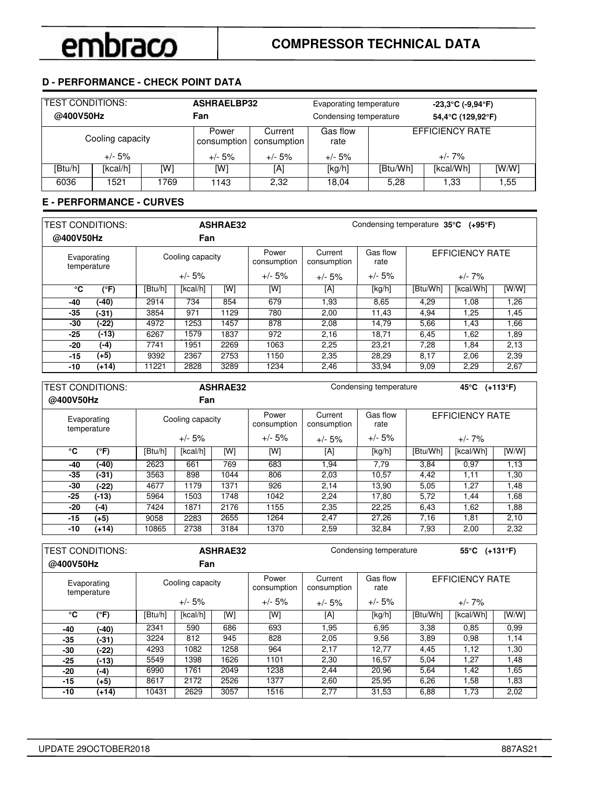### **D - PERFORMANCE - CHECK POINT DATA**

| <b>TEST CONDITIONS:</b><br>@400V50Hz |                  |      | <b>ASHRAELBP32</b><br>Fan |                        | Evaporating temperature<br>Condensing temperature |                               | $-23,3^{\circ}$ C (-9,94 $^{\circ}$ F)<br>54,4°C (129,92°F) |  |  |
|--------------------------------------|------------------|------|---------------------------|------------------------|---------------------------------------------------|-------------------------------|-------------------------------------------------------------|--|--|
|                                      | Cooling capacity |      | Power<br>consumption      | Current<br>consumption | Gas flow<br>rate                                  |                               | <b>EFFICIENCY RATE</b>                                      |  |  |
|                                      | $+/- 5%$         |      | $+/- 5%$                  | $+/- 5%$               | $+/- 5%$                                          | $+/- 7\%$                     |                                                             |  |  |
| [Btu/h]                              | [kcal/h]         | [W]  | [W]                       | [A]                    | [kg/h]                                            | [kcal/Wh]<br>[WM]<br>[Btu/Wh] |                                                             |  |  |
| 6036                                 | 1521             | 1769 | 1143                      | 2.32                   | 18.04                                             | 5,28<br>1,33<br>1,55          |                                                             |  |  |

### **E - PERFORMANCE - CURVES**

| <b>TEST CONDITIONS:</b><br>@400V50Hz |         | <b>ASHRAE32</b><br>Condensing temperature $35^{\circ}$ C (+95°F)<br>Fan |          |      |                      |                        |                  |          |                        |       |
|--------------------------------------|---------|-------------------------------------------------------------------------|----------|------|----------------------|------------------------|------------------|----------|------------------------|-------|
| Evaporating<br>temperature           |         | Cooling capacity                                                        |          |      | Power<br>consumption | Current<br>consumption | Gas flow<br>rate |          | <b>EFFICIENCY RATE</b> |       |
|                                      |         | $+/- 5%$                                                                |          |      | $+/- 5%$             | $+/- 5%$               | $+/- 5%$         |          | $+/- 7\%$              |       |
| °C                                   | (°F)    | [Btu/h]                                                                 | [kcal/h] | [W]  | [W]                  | [A]                    | [kg/h]           | [Btu/Wh] | [kcal/Wh]              | [W/W] |
| -40                                  | (-40)   | 2914                                                                    | 734      | 854  | 679                  | 1,93                   | 8,65             | 4,29     | 1,08                   | 1,26  |
| -35                                  | $(-31)$ | 3854                                                                    | 971      | 1129 | 780                  | 2,00                   | 11.43            | 4.94     | 1.25                   | 1,45  |
| -30                                  | (-22)   | 4972                                                                    | 1253     | 1457 | 878                  | 2,08                   | 14.79            | 5,66     | 1.43                   | 1.66  |
| $-25$                                | $(-13)$ | 6267                                                                    | 1579     | 1837 | 972                  | 2,16                   | 18.71            | 6,45     | 1,62                   | 1,89  |
| -20                                  | $(-4)$  | 7741                                                                    | 1951     | 2269 | 1063                 | 2,25                   | 23,21            | 7,28     | 1.84                   | 2,13  |
| $-15$                                | $(+5)$  | 9392                                                                    | 2367     | 2753 | 1150                 | 2,35                   | 28.29            | 8,17     | 2,06                   | 2,39  |
| -10                                  | $(+14)$ | 11221                                                                   | 2828     | 3289 | 1234                 | 2,46                   | 33.94            | 9,09     | 2,29                   | 2,67  |

| <b>TEST CONDITIONS:</b><br><b>ASHRAE32</b> |         |         |                  |      |                      | Condensing temperature<br>45°C (+113°F) |                  |                        |           |       |  |  |
|--------------------------------------------|---------|---------|------------------|------|----------------------|-----------------------------------------|------------------|------------------------|-----------|-------|--|--|
| @400V50Hz                                  |         |         | Fan              |      |                      |                                         |                  |                        |           |       |  |  |
| Evaporating<br>temperature                 |         |         | Cooling capacity |      | Power<br>consumption | Current<br>consumption                  | Gas flow<br>rate | <b>EFFICIENCY RATE</b> |           |       |  |  |
|                                            |         |         | $+/- 5%$         |      | $+/- 5%$             | $+/- 5%$                                | $+/- 5%$         |                        | $+/- 7\%$ |       |  |  |
| °C                                         | (°F)    | [Btu/h] | [kcal/h]         | [W]  | [W]                  | [A]                                     | [kg/h]           | [Btu/Wh]               | [kcal/Wh] | [W/W] |  |  |
| -40                                        | (-40)   | 2623    | 661              | 769  | 683                  | 1.94                                    | 7,79             | 3.84                   | 0.97      | 1,13  |  |  |
| -35                                        | (-31)   | 3563    | 898              | 1044 | 806                  | 2,03                                    | 10,57            | 4,42                   | 1,11      | 1.30  |  |  |
| -30                                        | (-22)   | 4677    | 1179             | 1371 | 926                  | 2,14                                    | 13,90            | 5,05                   | 1,27      | 1,48  |  |  |
| -25                                        | $(-13)$ | 5964    | 1503             | 1748 | 1042                 | 2.24                                    | 17,80            | 5,72                   | 1,44      | 1,68  |  |  |
| -20                                        | (-4)    | 7424    | 1871             | 2176 | 1155                 | 2,35                                    | 22,25            | 6,43                   | 1,62      | 1,88  |  |  |
| -15                                        | $(+5)$  | 9058    | 2283             | 2655 | 1264                 | 2,47                                    | 27,26            | 7,16                   | 1,81      | 2,10  |  |  |
| -10                                        | $(+14)$ | 10865   | 2738             | 3184 | 1370                 | 2,59                                    | 32,84            | 7,93                   | 2,00      | 2,32  |  |  |
|                                            |         |         |                  |      |                      |                                         |                  |                        |           |       |  |  |

| <b>TEST CONDITIONS:</b>    |               | <b>ASHRAE32</b> |                  |      |                      |                        | Condensing temperature |          | 55°C $(+131°F)$ |       |
|----------------------------|---------------|-----------------|------------------|------|----------------------|------------------------|------------------------|----------|-----------------|-------|
| @400V50Hz                  |               |                 | Fan              |      |                      |                        |                        |          |                 |       |
| Evaporating<br>temperature |               |                 | Cooling capacity |      | Power<br>consumption | Current<br>consumption | Gas flow<br>rate       |          | EFFICIENCY RATE |       |
|                            |               | $+/- 5%$        |                  |      | $+/- 5%$             | $+/- 5%$               | $+/- 5%$               |          | $+/- 7\%$       |       |
| °C                         | $(^{\circ}F)$ | [Btu/h]         | [kcal/h]         | [W]  | [W]                  | [A]                    | [kg/h]                 | [Btu/Wh] | [kcal/Wh]       | [W/W] |
| -40                        | $(-40)$       | 2341            | 590              | 686  | 693                  | 1.95                   | 6,95                   | 3,38     | 0.85            | 0.99  |
| -35                        | (-31)         | 3224            | 812              | 945  | 828                  | 2,05                   | 9,56                   | 3,89     | 0.98            | 1,14  |
| -30                        | (-22)         | 4293            | 1082             | 1258 | 964                  | 2,17                   | 12,77                  | 4,45     | 1,12            | 1,30  |
| -25                        | $(-13)$       | 5549            | 1398             | 1626 | 1101                 | 2,30                   | 16.57                  | 5,04     | 1,27            | 1,48  |
| -20                        | (-4)          | 6990            | 1761             | 2049 | 1238                 | 2,44                   | 20,96                  | 5,64     | 1,42            | 1,65  |
| -15                        | $(+5)$        | 8617            | 2172             | 2526 | 1377                 | 2.60                   | 25.95                  | 6,26     | 1.58            | 1,83  |
| -10                        | $(+14)$       | 10431           | 2629             | 3057 | 1516                 | 2,77                   | 31,53                  | 6,88     | 1,73            | 2,02  |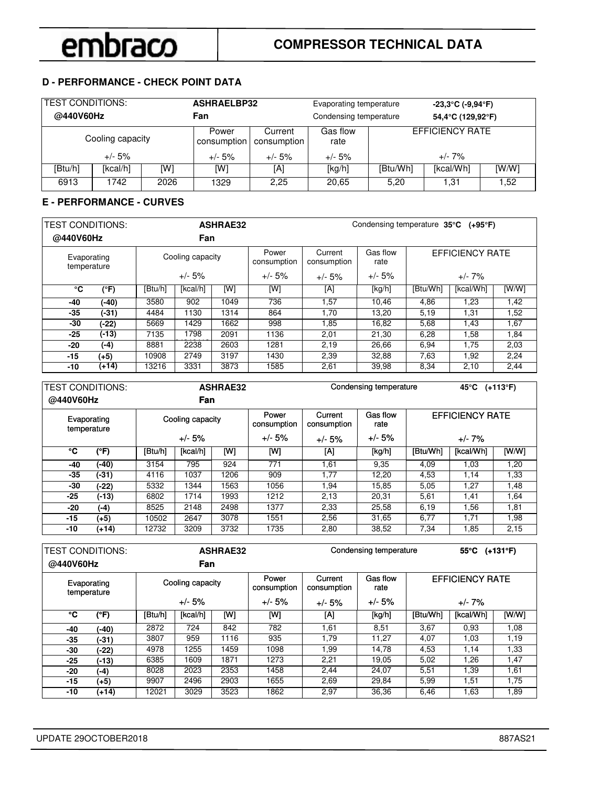### **D - PERFORMANCE - CHECK POINT DATA**

| <b>TEST CONDITIONS:</b><br>@440V60Hz |                  |      | <b>ASHRAELBP32</b><br>Fan |                        | Evaporating temperature<br>Condensing temperature |                      | $-23,3^{\circ}$ C (-9,94 $^{\circ}$ F)<br>54,4°C (129,92°F) |      |  |
|--------------------------------------|------------------|------|---------------------------|------------------------|---------------------------------------------------|----------------------|-------------------------------------------------------------|------|--|
|                                      | Cooling capacity |      | Power<br>consumption      | Current<br>consumption | Gas flow<br>rate                                  |                      | <b>EFFICIENCY RATE</b>                                      |      |  |
|                                      | $+/- 5%$         |      | $+/- 5%$                  | $+/- 5%$               | $+/- 5%$                                          | $+/- 7\%$            |                                                             |      |  |
| [Btu/h]                              | [kcal/h]         | [W]  | [W]                       | [A]                    | [kg/h]                                            | [Btu/Wh]             | [kcal/Wh]                                                   | [WM] |  |
| 6913                                 | 1742             | 2026 | 1329                      | 2.25                   | 20.65                                             | 1,31<br>1.52<br>5.20 |                                                             |      |  |

### **E - PERFORMANCE - CURVES**

| <b>TEST CONDITIONS:</b>    |         |                  |          | <b>ASHRAE32</b> |                      | Condensing temperature 35°C (+95°F) |                  |          |                        |       |
|----------------------------|---------|------------------|----------|-----------------|----------------------|-------------------------------------|------------------|----------|------------------------|-------|
| @440V60Hz                  |         |                  | Fan      |                 |                      |                                     |                  |          |                        |       |
| Evaporating<br>temperature |         | Cooling capacity |          |                 | Power<br>consumption | Current<br>consumption              | Gas flow<br>rate |          | <b>EFFICIENCY RATE</b> |       |
|                            |         |                  | $+/- 5%$ |                 | $+/- 5%$             | $+/- 5%$                            | $+/- 5%$         |          | $+/- 7\%$              |       |
| °C                         | (°F)    | [Btu/h]          | [kcal/h] | [W]             | [W]                  | [A]                                 | [kg/h]           | [Btu/Wh] | [kcal/Wh]              | [W/W] |
| -40                        | $(-40)$ | 3580             | 902      | 1049            | 736                  | 1,57                                | 10.46            | 4,86     | 1.23                   | 1,42  |
| $-35$                      | $(-31)$ | 4484             | 1130     | 1314            | 864                  | 1,70                                | 13.20            | 5,19     | 1,31                   | 1,52  |
| -30                        | (-22)   | 5669             | 1429     | 1662            | 998                  | 1,85                                | 16,82            | 5,68     | 1,43                   | 1,67  |
| $-25$                      | $(-13)$ | 7135             | 1798     | 2091            | 1136                 | 2,01                                | 21,30            | 6,28     | 1.58                   | 1,84  |
| -20                        | (-4)    | 8881             | 2238     | 2603            | 1281                 | 2,19                                | 26,66            | 6,94     | 1,75                   | 2,03  |
| $-15$                      | $(+5)$  | 10908            | 2749     | 3197            | 1430                 | 2,39                                | 32,88            | 7,63     | 1,92                   | 2,24  |
| -10                        | (+14)   | 13216            | 3331     | 3873            | 1585                 | 2,61                                | 39,98            | 8,34     | 2,10                   | 2,44  |

| <b>TEST CONDITIONS:</b><br>@440V60Hz |         |                  | Fan      | <b>ASHRAE32</b> |                      | Condensing temperature<br>45 $°C$ (+113 $°F$ ) |                  |                        |           |      |
|--------------------------------------|---------|------------------|----------|-----------------|----------------------|------------------------------------------------|------------------|------------------------|-----------|------|
| Evaporating<br>temperature           |         | Cooling capacity |          |                 | Power<br>consumption | Current<br>consumption                         | Gas flow<br>rate | <b>EFFICIENCY RATE</b> |           |      |
|                                      |         |                  | $+/- 5%$ |                 | $+/- 5\%$            | $+/- 5%$                                       | $+/- 5%$         |                        | $+/- 7%$  |      |
| °C                                   | (°F)    | [Btu/h]          | [kcal/h] | [W]             | [W]                  | [A]                                            | [kg/h]           | [Btu/Wh]               | [kcal/Wh] | [WM] |
| -40                                  | (-40)   | 3154             | 795      | 924             | 771                  | 1,61                                           | 9,35             | 4,09                   | 1,03      | 1,20 |
| -35                                  | $(-31)$ | 4116             | 1037     | 1206            | 909                  | 1,77                                           | 12.20            | 4,53                   | 1,14      | 1,33 |
| -30                                  | $(-22)$ | 5332             | 1344     | 1563            | 1056                 | 1.94                                           | 15.85            | 5,05                   | 1.27      | 1,48 |
| -25                                  | $(-13)$ | 6802             | 1714     | 1993            | 1212                 | 2,13                                           | 20,31            | 5,61                   | 1,41      | 1,64 |
| -20                                  | $(-4)$  | 8525             | 2148     | 2498            | 1377                 | 2,33                                           | 25,58            | 6,19                   | 1.56      | 1,81 |
| -15                                  | (+5)    | 10502            | 2647     | 3078            | 1551                 | 2,56                                           | 31.65            | 6,77                   | 1.71      | 1,98 |
| -10                                  | $(+14)$ | 12732            | 3209     | 3732            | 1735                 | 2,80                                           | 38,52            | 7,34                   | 1,85      | 2,15 |
|                                      |         |                  |          |                 |                      |                                                |                  |                        |           |      |

| <b>TEST CONDITIONS:</b>    |         | <b>ASHRAE32</b> |                  |      |                      |                        | Condensing temperature |                        | 55 $°C$ (+131 $°F$ ) |      |  |  |
|----------------------------|---------|-----------------|------------------|------|----------------------|------------------------|------------------------|------------------------|----------------------|------|--|--|
| @440V60Hz                  |         |                 | <b>Fan</b>       |      |                      |                        |                        |                        |                      |      |  |  |
| Evaporating<br>temperature |         |                 | Cooling capacity |      | Power<br>consumption | Current<br>consumption | Gas flow<br>rate       | <b>EFFICIENCY RATE</b> |                      |      |  |  |
|                            |         |                 | $+/- 5%$         |      | $+/- 5%$             | $+/- 5%$               | $+/- 5%$               |                        | +/- 7%               |      |  |  |
| ℃                          | (°F)    | [Btu/h]         | [kcal/h]         | [W]  | [W]                  | [A]                    | [kg/h]                 | [Btu/Wh]               | [kcal/Wh]            | [WM] |  |  |
| -40                        | (-40)   | 2872            | 724              | 842  | 782                  | 1.61                   | 8,51                   | 3,67                   | 0.93                 | 1,08 |  |  |
| -35                        | (-31)   | 3807            | 959              | 1116 | 935                  | 1.79                   | 11,27                  | 4,07                   | 1,03                 | 1,19 |  |  |
| -30                        | (-22)   | 4978            | 1255             | 1459 | 1098                 | 1.99                   | 14.78                  | 4,53                   | 1,14                 | 1,33 |  |  |
| -25                        | (-13)   | 6385            | 1609             | 1871 | 1273                 | 2,21                   | 19,05                  | 5,02                   | 1,26                 | 1,47 |  |  |
| -20                        | (-4)    | 8028            | 2023             | 2353 | 1458                 | 2.44                   | 24.07                  | 5,51                   | 1.39                 | 1,61 |  |  |
| -15                        | (+5)    | 9907            | 2496             | 2903 | 1655                 | 2,69                   | 29,84                  | 5,99                   | 1,51                 | 1,75 |  |  |
| -10                        | $(+14)$ | 12021           | 3029             | 3523 | 1862                 | 2,97                   | 36,36                  | 6,46                   | 1,63                 | 1,89 |  |  |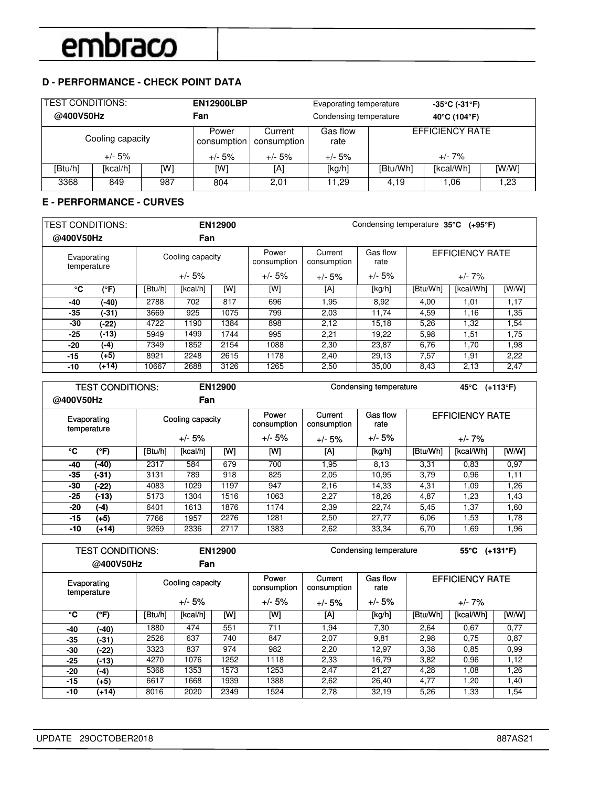## **D - PERFORMANCE - CHECK POINT DATA**

|         | <b>TEST CONDITIONS:</b><br><b>EN12900LBP</b><br>Evaporating temperature<br>@400V50Hz<br>Fan<br>Condensing temperature |     |                      |                        |                  | $-35^{\circ}$ C (-31 $^{\circ}$ F)<br>40°C (104°F) |                        |      |  |
|---------|-----------------------------------------------------------------------------------------------------------------------|-----|----------------------|------------------------|------------------|----------------------------------------------------|------------------------|------|--|
|         | Cooling capacity                                                                                                      |     | Power<br>consumption | Current<br>consumption | Gas flow<br>rate |                                                    | <b>EFFICIENCY RATE</b> |      |  |
|         | $+/- 5%$                                                                                                              |     | $+/- 5%$             | $+/- 5%$               | $+/- 5%$         | $+/- 7\%$                                          |                        |      |  |
| [Btu/h] | [kcal/h]                                                                                                              | [W] | [W]                  | [A]                    | [kg/h]           | [Btu/Wh]                                           | [kcal/Wh]              | [WM] |  |
| 3368    | 849                                                                                                                   | 987 | 804                  | 2,01                   | 11.29            | 1,23<br>4,19<br>1,06                               |                        |      |  |

## **E - PERFORMANCE - CURVES**

| <b>TEST CONDITIONS:</b>    |         |                  |          | EN12900 | Condensing temperature 35°C (+95°F) |                        |                  |          |                 |       |  |
|----------------------------|---------|------------------|----------|---------|-------------------------------------|------------------------|------------------|----------|-----------------|-------|--|
| @400V50Hz                  |         |                  | Fan      |         |                                     |                        |                  |          |                 |       |  |
| Evaporating<br>temperature |         | Cooling capacity |          |         | Power<br>consumption                | Current<br>consumption | Gas flow<br>rate |          | EFFICIENCY RATE |       |  |
|                            |         |                  | $+/- 5%$ |         | $+/- 5%$                            | $+/- 5%$               | $+/- 5%$         |          | $+/- 7\%$       |       |  |
| °C                         | (°F)    | [Btu/h]          | [kcal/h] | [W]     | [W]                                 | [A]                    | [kg/h]           | [Btu/Wh] | [kcal/Wh]       | [W/W] |  |
| -40                        | $(-40)$ | 2788             | 702      | 817     | 696                                 | 1.95                   | 8,92             | 4,00     | 1,01            | 1,17  |  |
| -35                        | $(-31)$ | 3669             | 925      | 1075    | 799                                 | 2,03                   | 11.74            | 4,59     | 1,16            | 1,35  |  |
| -30                        | $(-22)$ | 4722             | 1190     | 1384    | 898                                 | 2,12                   | 15,18            | 5,26     | 1,32            | 1.54  |  |
| -25                        | $(-13)$ | 5949             | 1499     | 1744    | 995                                 | 2,21                   | 19,22            | 5,98     | 1,51            | 1,75  |  |
| -20                        | (-4)    | 7349             | 1852     | 2154    | 1088                                | 2,30                   | 23,87            | 6,76     | 1,70            | 1,98  |  |
| $-15$                      | $(+5)$  | 8921             | 2248     | 2615    | 1178                                | 2,40                   | 29,13            | 7,57     | 1,91            | 2,22  |  |
| -10                        | (+14)   | 10667            | 2688     | 3126    | 1265                                | 2,50                   | 35,00            | 8,43     | 2,13            | 2,47  |  |

| <b>TEST CONDITIONS:</b>    |         |                  | EN12900  |      | Condensing temperature |                        | 45°C             | $(+113^{\circ}F)$      |           |       |
|----------------------------|---------|------------------|----------|------|------------------------|------------------------|------------------|------------------------|-----------|-------|
| @400V50Hz                  |         |                  | Fan      |      |                        |                        |                  |                        |           |       |
| Evaporating<br>temperature |         | Cooling capacity |          |      | Power<br>consumption   | Current<br>consumption | Gas flow<br>rate | <b>EFFICIENCY RATE</b> |           |       |
|                            |         | +/- 5%           |          |      | $+/- 5%$               | $+/- 5%$               | $+/- 5%$         | $+/- 7\%$              |           |       |
| ۰c                         | (°F)    | [Btu/h]          | [kcal/h] | [W]  | [W]                    | ΙAΙ                    | [kg/h]           | [Btu/Wh]               | [kcal/Wh] | [W/W] |
| -40                        | (-40)   | 2317             | 584      | 679  | 700                    | 1,95                   | 8,13             | 3,31                   | 0.83      | 0.97  |
| -35                        | $(-31)$ | 3131             | 789      | 918  | 825                    | 2,05                   | 10.95            | 3,79                   | 0.96      | 1,11  |
| -30                        | $(-22)$ | 4083             | 1029     | 1197 | 947                    | 2,16                   | 14,33            | 4,31                   | 1,09      | 1,26  |
| $-25$                      | $(-13)$ | 5173             | 1304     | 1516 | 1063                   | 2,27                   | 18.26            | 4,87                   | 1.23      | 1,43  |
| -20                        | (-4)    | 6401             | 1613     | 1876 | 1174                   | 2,39                   | 22.74            | 5,45                   | 1,37      | 1,60  |
| $-15$                      | $(+5)$  | 7766             | 1957     | 2276 | 1281                   | 2,50                   | 27,77            | 6,06                   | 53. ا     | 1,78  |
| $-10$                      | $(+14)$ | 9269             | 2336     | 2717 | 1383                   | 2,62                   | 33.34            | 6,70                   | 1,69      | 1,96  |

|       | <b>TEST CONDITIONS:</b><br>@400V50Hz |         | Fan                          | EN12900 |      | Condensing temperature<br>55°C |                  |                        |           | $(+131^{\circ}F)$ |
|-------|--------------------------------------|---------|------------------------------|---------|------|--------------------------------|------------------|------------------------|-----------|-------------------|
|       | Evaporating<br>temperature           |         | Cooling capacity<br>$+/- 5%$ |         |      | Current<br>consumption         | Gas flow<br>rate | <b>EFFICIENCY RATE</b> |           |                   |
|       |                                      |         |                              |         |      | $+/- 5%$                       | $+/- 5%$         |                        | $+/- 7%$  |                   |
| ℃     | (°F)                                 | [Btu/h] | [kcal/h]                     | [W]     | [W]  | ΙAΙ                            | [kg/h]           | [Btu/Wh]               | [kcal/Wh] | [W/W]             |
| -40   | (-40)                                | 1880    | 474                          | 551     | 711  | 1.94                           | 7,30             | 2,64                   | 0.67      | 0,77              |
| $-35$ | (-31)                                | 2526    | 637                          | 740     | 847  | 2,07                           | 9,81             | 2,98                   | 0.75      | 0,87              |
| -30   | (-22)                                | 3323    | 837                          | 974     | 982  | 2,20                           | 12,97            | 3,38                   | 0.85      | 0,99              |
| $-25$ | $(-13)$                              | 4270    | 1076                         | 1252    | 1118 | 2,33                           | 16.79            | 3,82                   | 0.96      | 1,12              |
| -20   | (-4)                                 | 5368    | 1353                         | 1573    | 1253 | 2,47                           | 21.27            | 4,28                   | 1.08      | 1,26              |
| $-15$ | (+5)                                 | 6617    | 1668                         | 1939    | 1388 | 2,62                           | 26.40            | 4,77                   | 1.20      | 1,40              |
| $-10$ | (+14)                                | 8016    | 2020                         | 2349    | 1524 | 2,78                           | 32,19            | 5,26                   | 1.33      | 1,54              |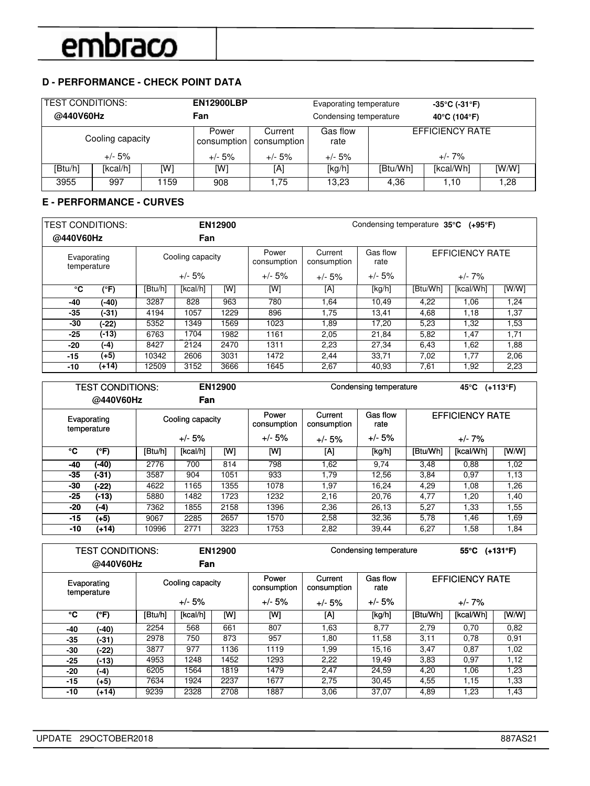## **D - PERFORMANCE - CHECK POINT DATA**

| <b>TEST CONDITIONS:</b><br>@440V60Hz |                  |      | <b>EN12900LBP</b><br>Fan |                        | Evaporating temperature<br>Condensing temperature |                        | $-35^{\circ}$ C (-31 $^{\circ}$ F)<br>40°C (104°F) |      |
|--------------------------------------|------------------|------|--------------------------|------------------------|---------------------------------------------------|------------------------|----------------------------------------------------|------|
|                                      | Cooling capacity |      | Power<br>consumption     | Current<br>consumption | Gas flow<br>rate                                  | <b>EFFICIENCY RATE</b> |                                                    |      |
| $+/- 5%$                             |                  |      | $+/- 5%$                 | $+/- 5%$               | $+/- 5%$                                          | $+/- 7\%$              |                                                    |      |
| [Btu/h]                              | [kcal/h]         | [W]  | [W]                      | [A]                    | [kg/h]                                            | [Btu/Wh]               | [kcal/Wh]                                          | [WM] |
| 3955                                 | 997              | 1159 | 908                      | 1.75                   | 13.23                                             | 4.36                   | 1.10                                               | 1.28 |

### **E - PERFORMANCE - CURVES**

| <b>TEST CONDITIONS:</b>    |         |                  |          | EN12900  |                      | Condensing temperature 35°C (+95°F) |                  |                 |           |       |
|----------------------------|---------|------------------|----------|----------|----------------------|-------------------------------------|------------------|-----------------|-----------|-------|
| @440V60Hz                  |         |                  | Fan      |          |                      |                                     |                  |                 |           |       |
| Evaporating<br>temperature |         | Cooling capacity |          |          | Power<br>consumption | Current<br>consumption              | Gas flow<br>rate | EFFICIENCY RATE |           |       |
|                            |         | $+/- 5%$         |          | $+/- 5%$ | $+/- 5%$             | $+/- 5%$                            | $+/- 7\%$        |                 |           |       |
| °C                         | (°F)    | [Btu/h]          | [kcal/h] | [W]      | [W]                  | [A]                                 | [kg/h]           | [Btu/Wh]        | [kcal/Wh] | [W/W] |
| -40                        | $(-40)$ | 3287             | 828      | 963      | 780                  | 1,64                                | 10,49            | 4,22            | 1,06      | 1,24  |
| -35                        | $(-31)$ | 4194             | 1057     | 1229     | 896                  | 1,75                                | 13,41            | 4,68            | 1,18      | 1,37  |
| -30                        | $(-22)$ | 5352             | 1349     | 1569     | 1023                 | 1,89                                | 17.20            | 5,23            | 1,32      | 1,53  |
| -25                        | $(-13)$ | 6763             | 1704     | 1982     | 1161                 | 2,05                                | 21,84            | 5,82            | 1,47      | 1,71  |
| -20                        | (-4)    | 8427             | 2124     | 2470     | 1311                 | 2,23                                | 27.34            | 6,43            | 1,62      | 1,88  |
| $-15$                      | $(+5)$  | 10342            | 2606     | 3031     | 1472                 | 2,44                                | 33,71            | 7,02            | 1,77      | 2,06  |
| -10                        | (+14)   | 12509            | 3152     | 3666     | 1645                 | 2,67                                | 40,93            | 7,61            | 1,92      | 2,23  |

| <b>TEST CONDITIONS:</b>    |           | EN12900          |          |      |                      | Condensing temperature |                  | 45°C                   | $(+113^{\circ}F)$ |       |
|----------------------------|-----------|------------------|----------|------|----------------------|------------------------|------------------|------------------------|-------------------|-------|
|                            | @440V60Hz |                  | Fan      |      |                      |                        |                  |                        |                   |       |
| Evaporating<br>temperature |           | Cooling capacity |          |      | Power<br>consumption | Current<br>consumption | Gas flow<br>rate | <b>EFFICIENCY RATE</b> |                   |       |
|                            |           | $+/- 5%$         |          |      | $+/- 5%$             | $+/- 5%$               | $+/- 5%$         | $+/- 7%$               |                   |       |
| ۰c                         | (°F)      | [Btu/h]          | [kcal/h] | [W]  | [W]                  | [A]                    | [kg/h]           | [Btu/Wh]               | [kcal/Wh]         | [W/W] |
| -40                        | (-40)     | 2776             | 700      | 814  | 798                  | 1,62                   | 9,74             | 3,48                   | 0.88              | 1,02  |
| $-35$                      | $(-31)$   | 3587             | 904      | 1051 | 933                  | 1.79                   | 12.56            | 3,84                   | 0.97              | 1,13  |
| -30                        | $(-22)$   | 4622             | 1165     | 1355 | 1078                 | 97. ا                  | 16.24            | 4,29                   | 1,08              | 1,26  |
| $-25$                      | $(-13)$   | 5880             | 1482     | 1723 | 1232                 | 2,16                   | 20.76            | 4,77                   | 1.20              | 1,40  |
| -20                        | (-4)      | 7362             | 1855     | 2158 | 1396                 | 2,36                   | 26,13            | 5,27                   | 1.33              | 1,55  |
| -15                        | $(+5)$    | 9067             | 2285     | 2657 | 1570                 | 2,58                   | 32,36            | 5,78                   | 1,46              | 1,69  |
| $-10$                      | $(+14)$   | 10996            | 2771     | 3223 | 1753                 | 2,82                   | 39.44            | 6,27                   | 1.58              | 1,84  |

|       | <b>TEST CONDITIONS:</b>    |         | EN12900          |      |      |                        | Condensing temperature |          | 55 $°C$ (+131 $°F$ )   |       |  |
|-------|----------------------------|---------|------------------|------|------|------------------------|------------------------|----------|------------------------|-------|--|
|       | @440V60Hz                  |         | Fan              |      |      |                        |                        |          |                        |       |  |
|       | Evaporating<br>temperature |         | Cooling capacity |      |      | Current<br>consumption | Gas flow<br>rate       |          | <b>EFFICIENCY RATE</b> |       |  |
|       |                            |         | $+/- 5%$         |      |      | $+/- 5%$               | $+/- 5%$               | $+/- 7%$ |                        |       |  |
| ℃     | (°F)                       | [Btu/h] | [kcal/h]         | [W]  | [W]  | [A]                    | [kg/h]                 | [Btu/Wh] | [kcal/Wh]              | [W/W] |  |
| -40   | $(-40)$                    | 2254    | 568              | 661  | 807  | 1.63                   | 8,77                   | 2,79     | 0.70                   | 0,82  |  |
| -35   | $(-31)$                    | 2978    | 750              | 873  | 957  | 1.80                   | 11.58                  | 3,11     | 0.78                   | 0.91  |  |
| -30   | (-22)                      | 3877    | 977              | 1136 | 1119 | 1.99                   | 15,16                  | 3,47     | 0.87                   | 1,02  |  |
| $-25$ | $(-13)$                    | 4953    | 1248             | 1452 | 1293 | 2,22                   | 19.49                  | 3.83     | 0.97                   | 1,12  |  |
| -20   | (-4)                       | 6205    | 1564             | 1819 | 1479 | 2,47                   | 24.59                  | 4,20     | 1,06                   | 1,23  |  |
| -15   | (+5)                       | 7634    | 1924             | 2237 | 1677 | 2,75                   | 30,45                  | 4,55     | 1,15                   | 1,33  |  |
| -10   | $(+14)$                    | 9239    | 2328             | 2708 | 1887 | 3.06                   | 37,07                  | 4,89     | 23. ا                  | 1.43  |  |

٦